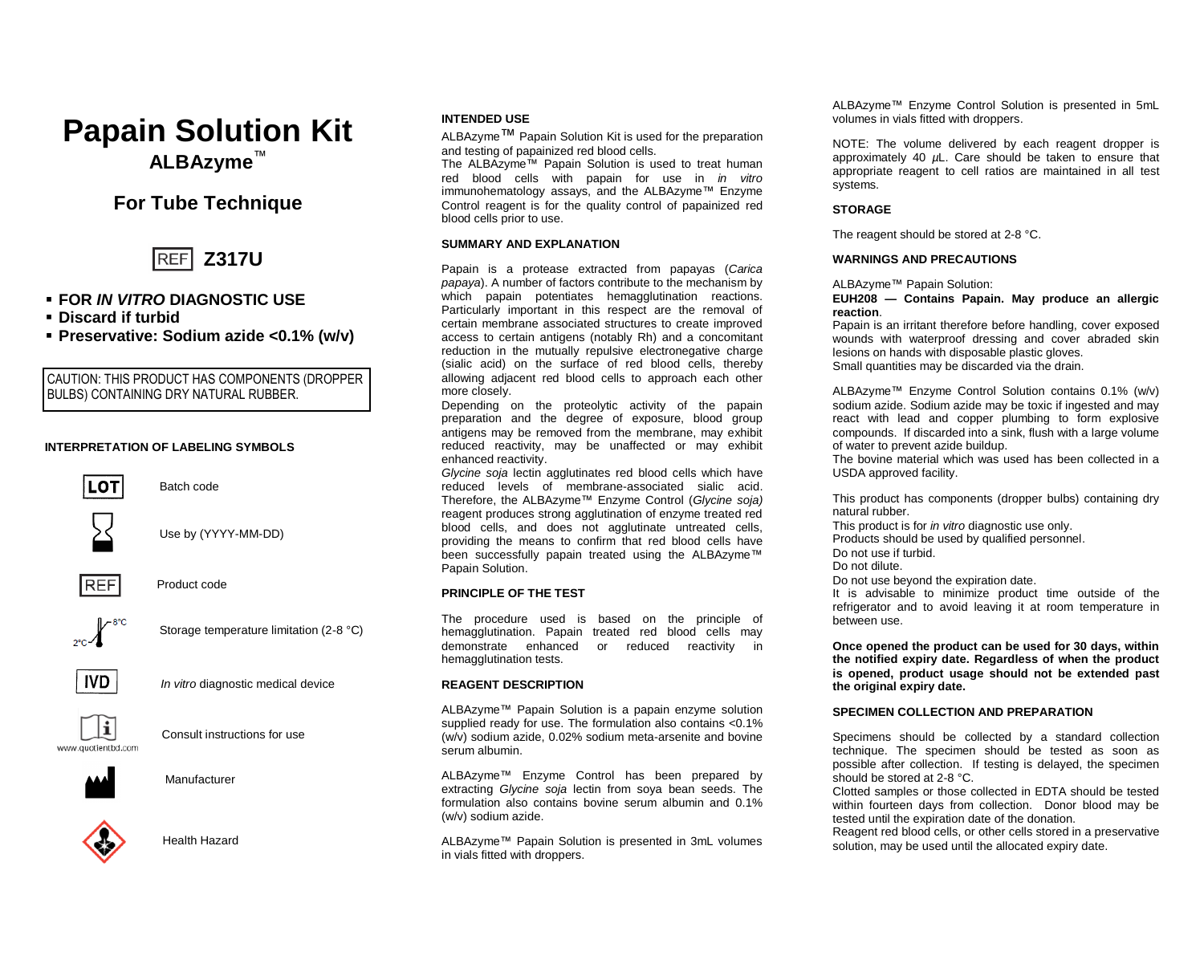

# **INTENDED USE**

ALBAzyme™ Papain Solution Kit is used for the preparation and testing of papainized red blood cells.

The ALBAzyme™ Papain Solution is used to treat human red blood cells with papain for use in *in vitro* immunohematology assays, and the ALBAzyme™ Enzyme Control reagent is for the quality control of papainized red blood cells prior to use.

#### **SUMMARY AND EXPLANATION**

Papain is a protease extracted from papayas (*Carica papaya*). A number of factors contribute to the mechanism by which papain potentiates hemagglutination reactions. Particularly important in this respect are the removal of certain membrane associated structures to create improved access to certain antigens (notably Rh) and a concomitant reduction in the mutually repulsive electronegative charge (sialic acid) on the surface of red blood cells, thereby allowing adjacent red blood cells to approach each other more closely.

Depending on the proteolytic activity of the papain preparation and the degree of exposure, blood group antigens may be removed from the membrane, may exhibit reduced reactivity, may be unaffected or may exhibit enhanced reactivity.

*Glycine soja* lectin agglutinates red blood cells which have reduced levels of membrane-associated sialic acid. Therefore, the ALBAzyme™ Enzyme Control (*Glycine soja)* reagent produces strong agglutination of enzyme treated red blood cells, and does not agglutinate untreated cells, providing the means to confirm that red blood cells have been successfully papain treated using the ALBAzyme™ Papain Solution.

### **PRINCIPLE OF THE TEST**

The procedure used is based on the principle of hemagglutination. Papain treated red blood cells may demonstrate enhanced or reduced reactivity in hemagglutination tests.

#### **REAGENT DESCRIPTION**

ALBAzyme™ Papain Solution is a papain enzyme solution supplied ready for use. The formulation also contains <0.1% (w/v) sodium azide, 0.02% sodium meta-arsenite and bovine serum albumin.

ALBAzyme™ Enzyme Control has been prepared by extracting *Glycine soja* lectin from soya bean seeds. The formulation also contains bovine serum albumin and 0.1% (w/v) sodium azide.

ALBAzyme™ Papain Solution is presented in 3mL volumes in vials fitted with droppers.

ALBAzyme™ Enzyme Control Solution is presented in 5mL volumes in vials fitted with droppers.

NOTE: The volume delivered by each reagent dropper is approximately 40 *µ*L. Care should be taken to ensure that appropriate reagent to cell ratios are maintained in all test systems.

#### **STORAGE**

The reagent should be stored at 2-8 °C.

#### **WARNINGS AND PRECAUTIONS**

ALBAzyme™ Papain Solution:

**EUH208 — Contains Papain. May produce an allergic reaction**.

Papain is an irritant therefore before handling, cover exposed wounds with waterproof dressing and cover abraded skin lesions on hands with disposable plastic gloves. Small quantities may be discarded via the drain.

ALBAzyme™ Enzyme Control Solution contains 0.1% (w/v) sodium azide. Sodium azide may be toxic if ingested and may react with lead and copper plumbing to form explosive compounds. If discarded into a sink, flush with a large volume of water to prevent azide buildup.

The bovine material which was used has been collected in a USDA approved facility.

This product has components (dropper bulbs) containing dry natural rubber.

This product is for *in vitro* diagnostic use only. Products should be used by qualified personnel.

Do not use if turbid.

Do not dilute.

Do not use beyond the expiration date.

It is advisable to minimize product time outside of the refrigerator and to avoid leaving it at room temperature in between use.

**Once opened the product can be used for 30 days, within the notified expiry date. Regardless of when the product is opened, product usage should not be extended past the original expiry date.** 

#### **SPECIMEN COLLECTION AND PREPARATION**

Specimens should be collected by a standard collection technique. The specimen should be tested as soon as possible after collection. If testing is delayed, the specimen should be stored at 2-8 °C.

Clotted samples or those collected in EDTA should be tested within fourteen days from collection. Donor blood may be tested until the expiration date of the donation.

Reagent red blood cells, or other cells stored in a preservative solution, may be used until the allocated expiry date.